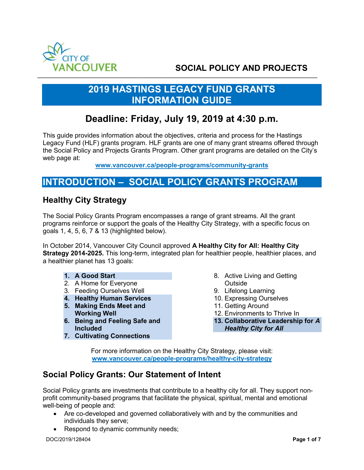

# **SOCIAL POLICY AND PROJECTS**

## **2019 HASTINGS LEGACY FUND GRANTS INFORMATION GUIDE**

## **Deadline: Friday, July 19, 2019 at 4:30 p.m.**

This guide provides information about the objectives, criteria and process for the Hastings Legacy Fund (HLF) grants program. HLF grants are one of many grant streams offered through the Social Policy and Projects Grants Program. Other grant programs are detailed on the City's web page at:

**[www.vancouver.ca/people-programs/community-grants](http://www.vancouver.ca/people-programs/community-grants)**

## **INTRODUCTION – SOCIAL POLICY GRANTS PROGRAM**

### **Healthy City Strategy**

The Social Policy Grants Program encompasses a range of grant streams. All the grant programs reinforce or support the goals of the Healthy City Strategy, with a specific focus on goals 1, 4, 5, 6, 7 & 13 (highlighted below).

In October 2014, Vancouver City Council approved **A Healthy City for All: Healthy City Strategy 2014-2025.** This long-term, integrated plan for healthier people, healthier places, and a healthier planet has 13 goals:

- **1. A Good Start**
- 2. A Home for Everyone
- 3. Feeding Ourselves Well
- **4. Healthy Human Services**
- **5. Making Ends Meet and Working Well**
- **6. Being and Feeling Safe and Included**
- **7. Cultivating Connections**
- 8. Active Living and Getting Outside
- 9. Lifelong Learning
- 10. Expressing Ourselves
- 11. Getting Around
- 12. Environments to Thrive In
- **13. Collaborative Leadership for** *A*
- *Healthy City for All*

For more information on the Healthy City Strategy, please visit: **[www.vancouver.ca/people-programs/healthy-city-strategy](http://www.vancouver.ca/people-programs/healthy-city-strategy)** 

### **Social Policy Grants: Our Statement of Intent**

Social Policy grants are investments that contribute to a healthy city for all. They support nonprofit community-based programs that facilitate the physical, spiritual, mental and emotional well-being of people and:

- Are co-developed and governed collaboratively with and by the communities and individuals they serve;
- Respond to dynamic community needs;

DOC/2019/128404 **Page 1 of 7**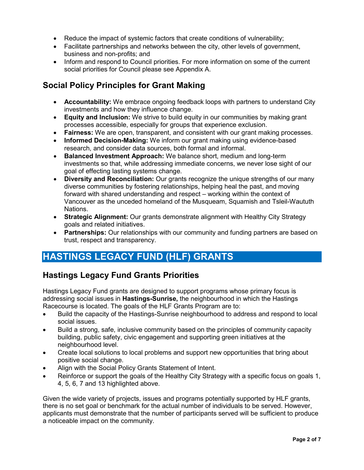- Reduce the impact of systemic factors that create conditions of vulnerability;
- Facilitate partnerships and networks between the city, other levels of government, business and non-profits; and
- Inform and respond to Council priorities. For more information on some of the current social priorities for Council please see Appendix A.

## **Social Policy Principles for Grant Making**

- **Accountability:** We embrace ongoing feedback loops with partners to understand City investments and how they influence change.
- **Equity and Inclusion:** We strive to build equity in our communities by making grant processes accessible, especially for groups that experience exclusion.
- **Fairness:** We are open, transparent, and consistent with our grant making processes.
- **Informed Decision-Making:** We inform our grant making using evidence-based research, and consider data sources, both formal and informal.
- **Balanced Investment Approach:** We balance short, medium and long-term investments so that, while addressing immediate concerns, we never lose sight of our goal of effecting lasting systems change.
- **Diversity and Reconciliation:** Our grants recognize the unique strengths of our many diverse communities by fostering relationships, helping heal the past, and moving forward with shared understanding and respect – working within the context of Vancouver as the unceded homeland of the Musqueam, Squamish and Tsleil-Waututh Nations.
- **Strategic Alignment:** Our grants demonstrate alignment with Healthy City Strategy goals and related initiatives.
- **Partnerships:** Our relationships with our community and funding partners are based on trust, respect and transparency.

## **HASTINGS LEGACY FUND (HLF) GRANTS**

### **Hastings Legacy Fund Grants Priorities**

Hastings Legacy Fund grants are designed to support programs whose primary focus is addressing social issues in **Hastings-Sunrise,** the neighbourhood in which the Hastings Racecourse is located. The goals of the HLF Grants Program are to:

- Build the capacity of the Hastings-Sunrise neighbourhood to address and respond to local social issues.
- Build a strong, safe, inclusive community based on the principles of community capacity building, public safety, civic engagement and supporting green initiatives at the neighbourhood level.
- Create local solutions to local problems and support new opportunities that bring about positive social change.
- Align with the Social Policy Grants Statement of Intent.
- Reinforce or support the goals of the Healthy City Strategy with a specific focus on goals 1, 4, 5, 6, 7 and 13 highlighted above.

Given the wide variety of projects, issues and programs potentially supported by HLF grants, there is no set goal or benchmark for the actual number of individuals to be served. However, applicants must demonstrate that the number of participants served will be sufficient to produce a noticeable impact on the community.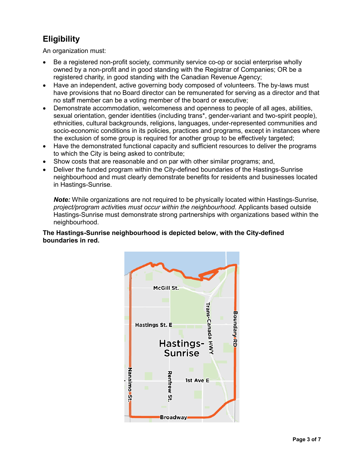## **Eligibility**

An organization must:

- Be a registered non-profit society, community service co-op or social enterprise wholly owned by a non-profit and in good standing with the Registrar of Companies; OR be a registered charity, in good standing with the Canadian Revenue Agency;
- Have an independent, active governing body composed of volunteers. The by-laws must have provisions that no Board director can be remunerated for serving as a director and that no staff member can be a voting member of the board or executive;
- Demonstrate accommodation, welcomeness and openness to people of all ages, abilities, sexual orientation, gender identities (including trans\*, gender-variant and two-spirit people), ethnicities, cultural backgrounds, religions, languages, under-represented communities and socio-economic conditions in its policies, practices and programs, except in instances where the exclusion of some group is required for another group to be effectively targeted;
- Have the demonstrated functional capacity and sufficient resources to deliver the programs to which the City is being asked to contribute;
- Show costs that are reasonable and on par with other similar programs; and,
- Deliver the funded program within the City-defined boundaries of the Hastings-Sunrise neighbourhood and must clearly demonstrate benefits for residents and businesses located in Hastings-Sunrise.

*Note:* While organizations are not required to be physically located within Hastings-Sunrise, *project/program activ*ities *must occur within the neighbourhood*. Applicants based outside Hastings-Sunrise must demonstrate strong partnerships with organizations based within the neighbourhood.

#### **The Hastings-Sunrise neighbourhood is depicted below, with the City-defined boundaries in red.**

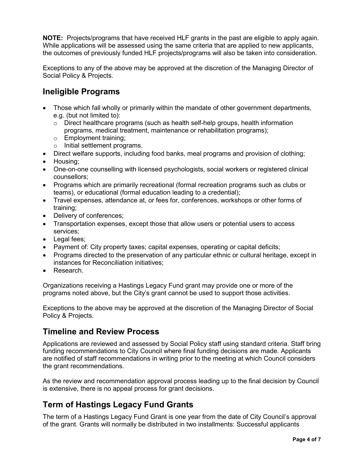**NOTE:** Projects/programs that have received HLF grants in the past are eligible to apply again. While applications will be assessed using the same criteria that are applied to new applicants, the outcomes of previously funded HLF projects/programs will also be taken into consideration.

Exceptions to any of the above may be approved at the discretion of the Managing Director of Social Policy & Projects.

### **Ineligible Programs**

- Those which fall wholly or primarily within the mandate of other government departments, e.g. (but not limited to):
	- $\circ$  Direct healthcare programs (such as health self-help groups, health information programs, medical treatment, maintenance or rehabilitation programs);
	- o Employment training;
	- o Initial settlement programs.
- Direct welfare supports, including food banks, meal programs and provision of clothing;
- Housing;
- One-on-one counselling with licensed psychologists, social workers or registered clinical counsellors;
- Programs which are primarily recreational (formal recreation programs such as clubs or teams), or educational (formal education leading to a credential);
- Travel expenses, attendance at, or fees for, conferences, workshops or other forms of training;
- Delivery of conferences;
- Transportation expenses, except those that allow users or potential users to access services;
- Legal fees;
- Payment of: City property taxes; capital expenses, operating or capital deficits;
- Programs directed to the preservation of any particular ethnic or cultural heritage, except in instances for Reconciliation initiatives;
- Research.

Organizations receiving a Hastings Legacy Fund grant may provide one or more of the programs noted above, but the City's grant cannot be used to support those activities.

Exceptions to the above may be approved at the discretion of the Managing Director of Social Policy & Projects.

### **Timeline and Review Process**

Applications are reviewed and assessed by Social Policy staff using standard criteria. Staff bring funding recommendations to City Council where final funding decisions are made. Applicants are notified of staff recommendations in writing prior to the meeting at which Council considers the grant recommendations.

As the review and recommendation approval process leading up to the final decision by Council is extensive, there is no appeal process for grant decisions.

### **Term of Hastings Legacy Fund Grants**

The term of a Hastings Legacy Fund Grant is one year from the date of City Council's approval of the grant. Grants will normally be distributed in two installments: Successful applicants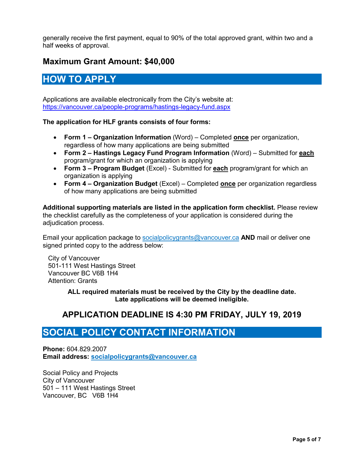generally receive the first payment, equal to 90% of the total approved grant, within two and a half weeks of approval.

## **Maximum Grant Amount: \$40,000**

## **HOW TO APPLY**

Applications are available electronically from the City's website at: <https://vancouver.ca/people-programs/hastings-legacy-fund.aspx>

#### **The application for HLF grants consists of four forms:**

- **Form 1 Organization Information** (Word) Completed **once** per organization, regardless of how many applications are being submitted
- **Form 2 Hastings Legacy Fund Program Information** (Word) Submitted for **each** program/grant for which an organization is applying
- **Form 3 Program Budget** (Excel) Submitted for **each** program/grant for which an organization is applying
- **Form 4 Organization Budget** (Excel) Completed **once** per organization regardless of how many applications are being submitted

**Additional supporting materials are listed in the application form checklist.** Please review the checklist carefully as the completeness of your application is considered during the adjudication process.

Email your application package to [socialpolicygrants@vancouver.ca](mailto:socialpolicygrants@vancouver.ca) **AND** mail or deliver one signed printed copy to the address below:

City of Vancouver 501-111 West Hastings Street Vancouver BC V6B 1H4 Attention: Grants

> **ALL required materials must be received by the City by the deadline date. Late applications will be deemed ineligible.**

### **APPLICATION DEADLINE IS 4:30 PM FRIDAY, JULY 19, 2019**

## **SOCIAL POLICY CONTACT INFORMATION**

**Phone:** 604.829.2007 **Email address: [socialpolicygrants@vancouver.ca](mailto:socialpolicygrants@vancouver.ca)**

Social Policy and Projects City of Vancouver 501 – 111 West Hastings Street Vancouver, BC V6B 1H4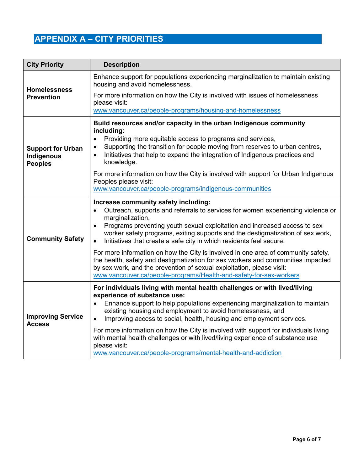# **APPENDIX A – CITY PRIORITIES**

| <b>City Priority</b>                                     | <b>Description</b>                                                                                                                                                                                                                                                                                                                                                                             |
|----------------------------------------------------------|------------------------------------------------------------------------------------------------------------------------------------------------------------------------------------------------------------------------------------------------------------------------------------------------------------------------------------------------------------------------------------------------|
| <b>Homelessness</b><br><b>Prevention</b>                 | Enhance support for populations experiencing marginalization to maintain existing<br>housing and avoid homelessness.                                                                                                                                                                                                                                                                           |
|                                                          | For more information on how the City is involved with issues of homelessness<br>please visit:                                                                                                                                                                                                                                                                                                  |
|                                                          | www.vancouver.ca/people-programs/housing-and-homelessness                                                                                                                                                                                                                                                                                                                                      |
| <b>Support for Urban</b><br>Indigenous<br><b>Peoples</b> | Build resources and/or capacity in the urban Indigenous community<br>including:<br>Providing more equitable access to programs and services,<br>$\bullet$<br>Supporting the transition for people moving from reserves to urban centres,<br>$\bullet$<br>Initiatives that help to expand the integration of Indigenous practices and<br>$\bullet$<br>knowledge.                                |
|                                                          | For more information on how the City is involved with support for Urban Indigenous<br>Peoples please visit:<br>www.vancouver.ca/people-programs/indigenous-communities                                                                                                                                                                                                                         |
| <b>Community Safety</b>                                  | Increase community safety including:<br>Outreach, supports and referrals to services for women experiencing violence or<br>marginalization,<br>Programs preventing youth sexual exploitation and increased access to sex<br>worker safety programs, exiting supports and the destigmatization of sex work,<br>Initiatives that create a safe city in which residents feel secure.<br>$\bullet$ |
|                                                          | For more information on how the City is involved in one area of community safety,<br>the health, safety and destigmatization for sex workers and communities impacted<br>by sex work, and the prevention of sexual exploitation, please visit:<br>www.vancouver.ca/people-programs/Health-and-safety-for-sex-workers                                                                           |
| <b>Improving Service</b><br>Access                       | For individuals living with mental health challenges or with lived/living<br>experience of substance use:<br>Enhance support to help populations experiencing marginalization to maintain<br>existing housing and employment to avoid homelessness, and<br>Improving access to social, health, housing and employment services.<br>$\bullet$                                                   |
|                                                          | For more information on how the City is involved with support for individuals living<br>with mental health challenges or with lived/living experience of substance use<br>please visit:<br>www.vancouver.ca/people-programs/mental-health-and-addiction                                                                                                                                        |